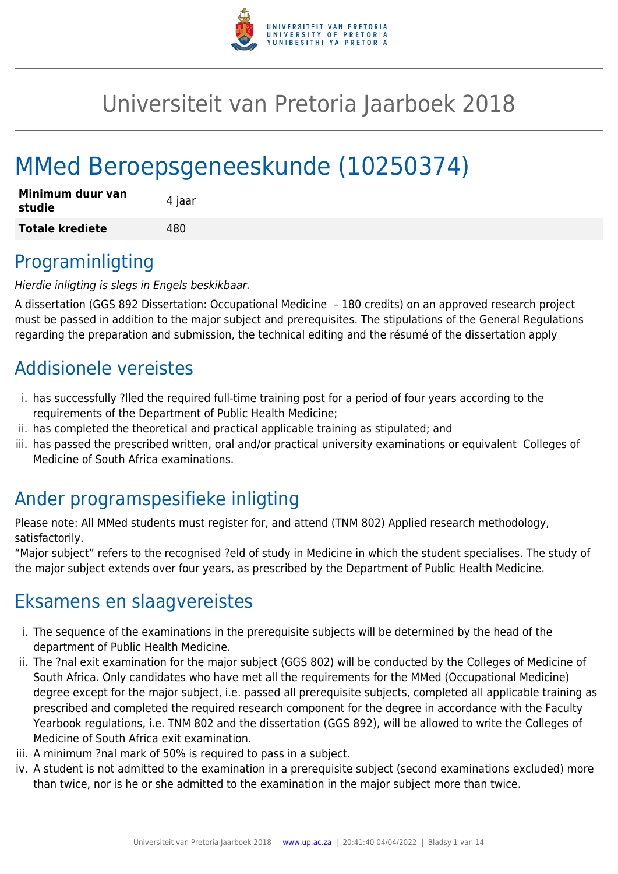

# Universiteit van Pretoria Jaarboek 2018

# MMed Beroepsgeneeskunde (10250374)

| Minimum duur van<br>studie | 4 jaar |
|----------------------------|--------|
| <b>Totale krediete</b>     | 480    |

# Programinligting

Hierdie inligting is slegs in Engels beskikbaar.

A dissertation (GGS 892 Dissertation: Occupational Medicine – 180 credits) on an approved research project must be passed in addition to the major subject and prerequisites. The stipulations of the General Regulations regarding the preparation and submission, the technical editing and the résumé of the dissertation apply

# Addisionele vereistes

- i. has successfully ?lled the required full-time training post for a period of four years according to the requirements of the Department of Public Health Medicine;
- ii. has completed the theoretical and practical applicable training as stipulated; and
- iii. has passed the prescribed written, oral and/or practical university examinations or equivalent Colleges of Medicine of South Africa examinations.

# Ander programspesifieke inligting

Please note: All MMed students must register for, and attend (TNM 802) Applied research methodology, satisfactorily.

"Major subject" refers to the recognised ?eld of study in Medicine in which the student specialises. The study of the major subject extends over four years, as prescribed by the Department of Public Health Medicine.

# Eksamens en slaagvereistes

- i. The sequence of the examinations in the prerequisite subjects will be determined by the head of the department of Public Health Medicine.
- ii. The ?nal exit examination for the major subject (GGS 802) will be conducted by the Colleges of Medicine of South Africa. Only candidates who have met all the requirements for the MMed (Occupational Medicine) degree except for the major subject, i.e. passed all prerequisite subjects, completed all applicable training as prescribed and completed the required research component for the degree in accordance with the Faculty Yearbook regulations, i.e. TNM 802 and the dissertation (GGS 892), will be allowed to write the Colleges of Medicine of South Africa exit examination.
- iii. A minimum ?nal mark of 50% is required to pass in a subject.
- iv. A student is not admitted to the examination in a prerequisite subject (second examinations excluded) more than twice, nor is he or she admitted to the examination in the major subject more than twice.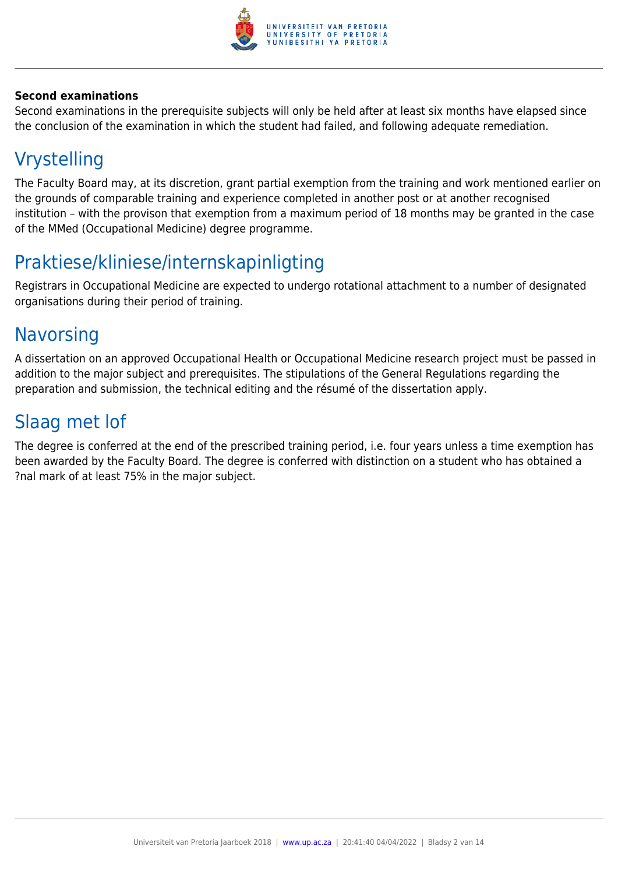

#### **Second examinations**

Second examinations in the prerequisite subjects will only be held after at least six months have elapsed since the conclusion of the examination in which the student had failed, and following adequate remediation.

# Vrystelling

The Faculty Board may, at its discretion, grant partial exemption from the training and work mentioned earlier on the grounds of comparable training and experience completed in another post or at another recognised institution – with the provison that exemption from a maximum period of 18 months may be granted in the case of the MMed (Occupational Medicine) degree programme.

# Praktiese/kliniese/internskapinligting

Registrars in Occupational Medicine are expected to undergo rotational attachment to a number of designated organisations during their period of training.

# **Navorsing**

A dissertation on an approved Occupational Health or Occupational Medicine research project must be passed in addition to the major subject and prerequisites. The stipulations of the General Regulations regarding the preparation and submission, the technical editing and the résumé of the dissertation apply.

# Slaag met lof

The degree is conferred at the end of the prescribed training period, i.e. four years unless a time exemption has been awarded by the Faculty Board. The degree is conferred with distinction on a student who has obtained a ?nal mark of at least 75% in the major subject.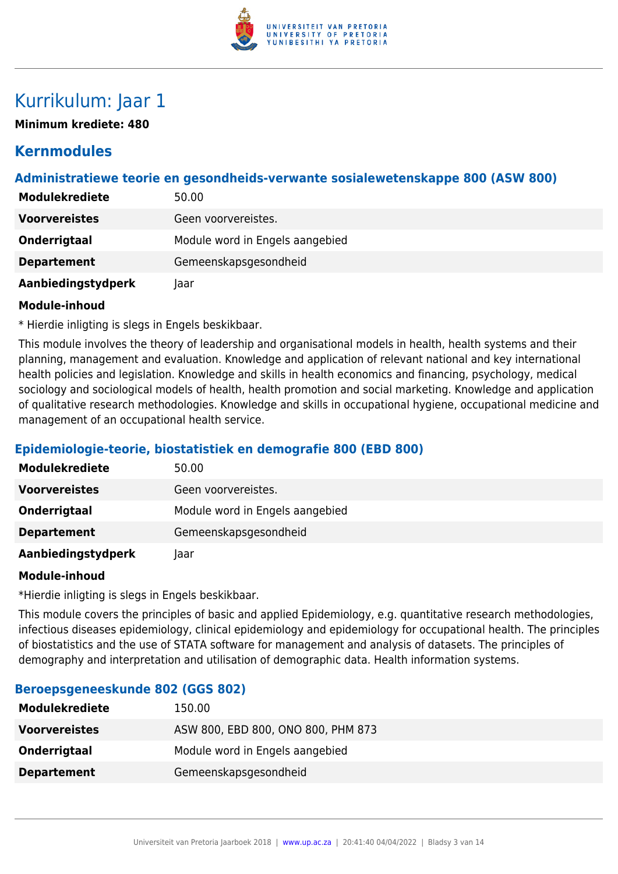

# Kurrikulum: Jaar 1

**Minimum krediete: 480**

# **Kernmodules**

# **Administratiewe teorie en gesondheids-verwante sosialewetenskappe 800 (ASW 800)**

| <b>Modulekrediete</b> | 50.00                           |
|-----------------------|---------------------------------|
| <b>Voorvereistes</b>  | Geen voorvereistes.             |
| Onderrigtaal          | Module word in Engels aangebied |
| <b>Departement</b>    | Gemeenskapsgesondheid           |
| Aanbiedingstydperk    | laar                            |

#### **Module-inhoud**

\* Hierdie inligting is slegs in Engels beskikbaar.

This module involves the theory of leadership and organisational models in health, health systems and their planning, management and evaluation. Knowledge and application of relevant national and key international health policies and legislation. Knowledge and skills in health economics and financing, psychology, medical sociology and sociological models of health, health promotion and social marketing. Knowledge and application of qualitative research methodologies. Knowledge and skills in occupational hygiene, occupational medicine and management of an occupational health service.

# **Epidemiologie-teorie, biostatistiek en demografie 800 (EBD 800)**

| <b>Modulekrediete</b> | 50.00                           |
|-----------------------|---------------------------------|
| <b>Voorvereistes</b>  | Geen voorvereistes.             |
| Onderrigtaal          | Module word in Engels aangebied |
| <b>Departement</b>    | Gemeenskapsgesondheid           |
| Aanbiedingstydperk    | laar                            |

#### **Module-inhoud**

\*Hierdie inligting is slegs in Engels beskikbaar.

This module covers the principles of basic and applied Epidemiology, e.g. quantitative research methodologies, infectious diseases epidemiology, clinical epidemiology and epidemiology for occupational health. The principles of biostatistics and the use of STATA software for management and analysis of datasets. The principles of demography and interpretation and utilisation of demographic data. Health information systems.

| <b>Modulekrediete</b> | 150.00                             |
|-----------------------|------------------------------------|
| <b>Voorvereistes</b>  | ASW 800, EBD 800, ONO 800, PHM 873 |
| <b>Onderrigtaal</b>   | Module word in Engels aangebied    |
| <b>Departement</b>    | Gemeenskapsgesondheid              |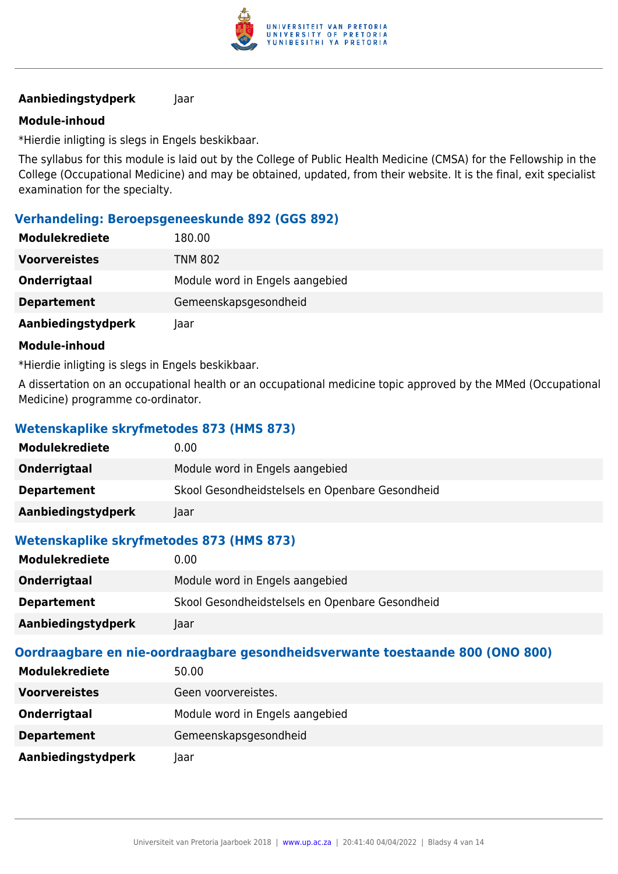

### **Module-inhoud**

\*Hierdie inligting is slegs in Engels beskikbaar.

The syllabus for this module is laid out by the College of Public Health Medicine (CMSA) for the Fellowship in the College (Occupational Medicine) and may be obtained, updated, from their website. It is the final, exit specialist examination for the specialty.

### **Verhandeling: Beroepsgeneeskunde 892 (GGS 892)**

| <b>Modulekrediete</b> | 180.00                          |
|-----------------------|---------------------------------|
| <b>Voorvereistes</b>  | <b>TNM 802</b>                  |
| Onderrigtaal          | Module word in Engels aangebied |
| <b>Departement</b>    | Gemeenskapsgesondheid           |
| Aanbiedingstydperk    | laar                            |

#### **Module-inhoud**

\*Hierdie inligting is slegs in Engels beskikbaar.

A dissertation on an occupational health or an occupational medicine topic approved by the MMed (Occupational Medicine) programme co-ordinator.

# **Wetenskaplike skryfmetodes 873 (HMS 873)**

| <b>Modulekrediete</b> | 0.00                                            |
|-----------------------|-------------------------------------------------|
| Onderrigtaal          | Module word in Engels aangebied                 |
| <b>Departement</b>    | Skool Gesondheidstelsels en Openbare Gesondheid |
| Aanbiedingstydperk    | Jaar                                            |

# **Wetenskaplike skryfmetodes 873 (HMS 873)**

| <b>Modulekrediete</b> | 0.00                                            |
|-----------------------|-------------------------------------------------|
| Onderrigtaal          | Module word in Engels aangebied                 |
| <b>Departement</b>    | Skool Gesondheidstelsels en Openbare Gesondheid |
| Aanbiedingstydperk    | laar                                            |

| <b>Modulekrediete</b> | 50.00                           |
|-----------------------|---------------------------------|
| <b>Voorvereistes</b>  | Geen voorvereistes.             |
| Onderrigtaal          | Module word in Engels aangebied |
| <b>Departement</b>    | Gemeenskapsgesondheid           |
| Aanbiedingstydperk    | laar                            |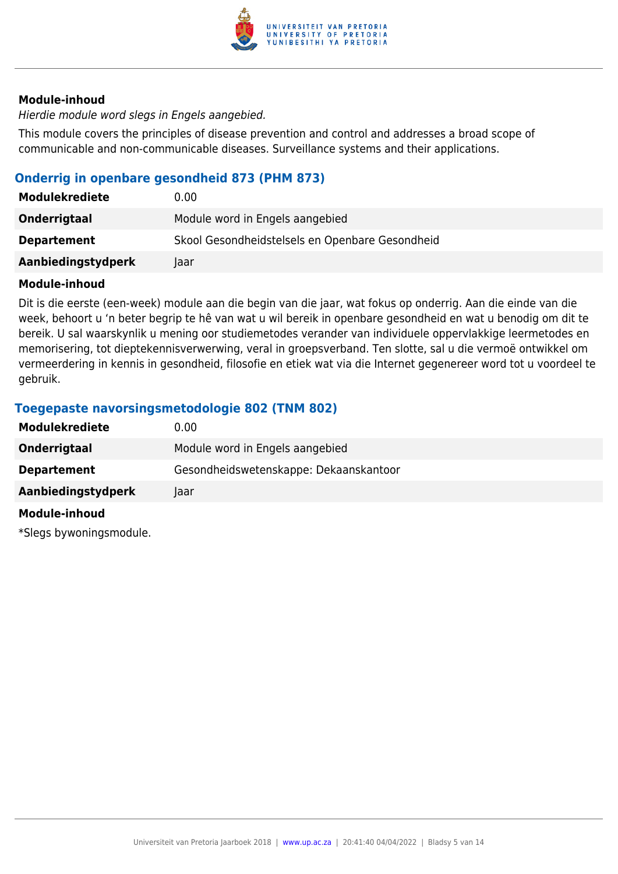

Hierdie module word slegs in Engels aangebied.

This module covers the principles of disease prevention and control and addresses a broad scope of communicable and non-communicable diseases. Surveillance systems and their applications.

## **Onderrig in openbare gesondheid 873 (PHM 873)**

| <b>Modulekrediete</b> | 0.00                                            |
|-----------------------|-------------------------------------------------|
| Onderrigtaal          | Module word in Engels aangebied                 |
| <b>Departement</b>    | Skool Gesondheidstelsels en Openbare Gesondheid |
| Aanbiedingstydperk    | laar                                            |

#### **Module-inhoud**

Dit is die eerste (een-week) module aan die begin van die jaar, wat fokus op onderrig. Aan die einde van die week, behoort u 'n beter begrip te hê van wat u wil bereik in openbare gesondheid en wat u benodig om dit te bereik. U sal waarskynlik u mening oor studiemetodes verander van individuele oppervlakkige leermetodes en memorisering, tot dieptekennisverwerwing, veral in groepsverband. Ten slotte, sal u die vermoë ontwikkel om vermeerdering in kennis in gesondheid, filosofie en etiek wat via die Internet gegenereer word tot u voordeel te gebruik.

# **Toegepaste navorsingsmetodologie 802 (TNM 802)**

| <b>Modulekrediete</b> | 0.00                                   |
|-----------------------|----------------------------------------|
| Onderrigtaal          | Module word in Engels aangebied        |
| <b>Departement</b>    | Gesondheidswetenskappe: Dekaanskantoor |
| Aanbiedingstydperk    | Taar                                   |
| Module-inhoud         |                                        |

\*Slegs bywoningsmodule.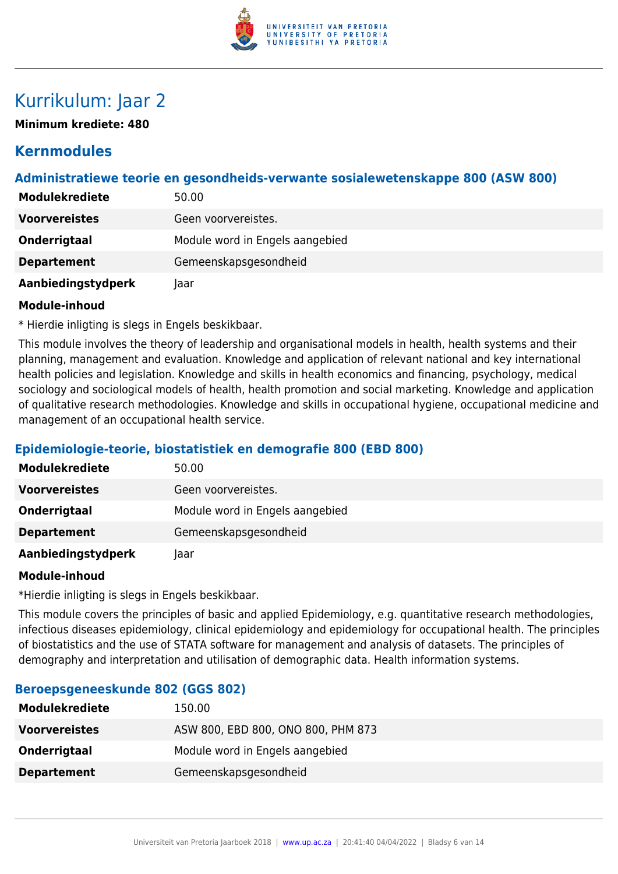

# Kurrikulum: Jaar 2

**Minimum krediete: 480**

# **Kernmodules**

# **Administratiewe teorie en gesondheids-verwante sosialewetenskappe 800 (ASW 800)**

| <b>Modulekrediete</b> | 50.00                           |
|-----------------------|---------------------------------|
| <b>Voorvereistes</b>  | Geen voorvereistes.             |
| Onderrigtaal          | Module word in Engels aangebied |
| <b>Departement</b>    | Gemeenskapsgesondheid           |
| Aanbiedingstydperk    | laar                            |

#### **Module-inhoud**

\* Hierdie inligting is slegs in Engels beskikbaar.

This module involves the theory of leadership and organisational models in health, health systems and their planning, management and evaluation. Knowledge and application of relevant national and key international health policies and legislation. Knowledge and skills in health economics and financing, psychology, medical sociology and sociological models of health, health promotion and social marketing. Knowledge and application of qualitative research methodologies. Knowledge and skills in occupational hygiene, occupational medicine and management of an occupational health service.

# **Epidemiologie-teorie, biostatistiek en demografie 800 (EBD 800)**

| <b>Modulekrediete</b> | 50.00                           |
|-----------------------|---------------------------------|
| <b>Voorvereistes</b>  | Geen voorvereistes.             |
| Onderrigtaal          | Module word in Engels aangebied |
| <b>Departement</b>    | Gemeenskapsgesondheid           |
| Aanbiedingstydperk    | laar                            |

#### **Module-inhoud**

\*Hierdie inligting is slegs in Engels beskikbaar.

This module covers the principles of basic and applied Epidemiology, e.g. quantitative research methodologies, infectious diseases epidemiology, clinical epidemiology and epidemiology for occupational health. The principles of biostatistics and the use of STATA software for management and analysis of datasets. The principles of demography and interpretation and utilisation of demographic data. Health information systems.

| <b>Modulekrediete</b> | 150.00                             |
|-----------------------|------------------------------------|
| <b>Voorvereistes</b>  | ASW 800, EBD 800, ONO 800, PHM 873 |
| <b>Onderrigtaal</b>   | Module word in Engels aangebied    |
| <b>Departement</b>    | Gemeenskapsgesondheid              |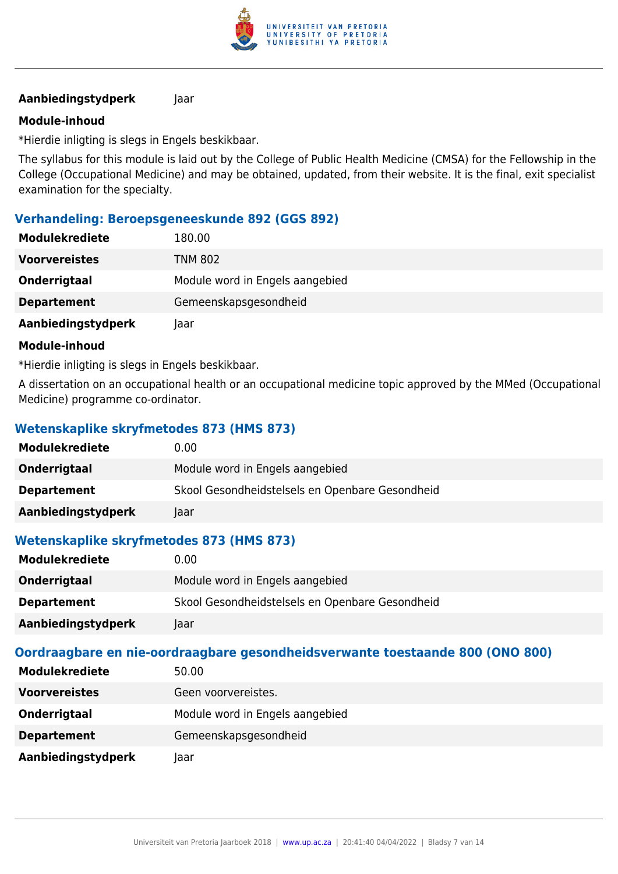

### **Module-inhoud**

\*Hierdie inligting is slegs in Engels beskikbaar.

The syllabus for this module is laid out by the College of Public Health Medicine (CMSA) for the Fellowship in the College (Occupational Medicine) and may be obtained, updated, from their website. It is the final, exit specialist examination for the specialty.

### **Verhandeling: Beroepsgeneeskunde 892 (GGS 892)**

| <b>Modulekrediete</b> | 180.00                          |
|-----------------------|---------------------------------|
| <b>Voorvereistes</b>  | <b>TNM 802</b>                  |
| Onderrigtaal          | Module word in Engels aangebied |
| <b>Departement</b>    | Gemeenskapsgesondheid           |
| Aanbiedingstydperk    | laar                            |

#### **Module-inhoud**

\*Hierdie inligting is slegs in Engels beskikbaar.

A dissertation on an occupational health or an occupational medicine topic approved by the MMed (Occupational Medicine) programme co-ordinator.

# **Wetenskaplike skryfmetodes 873 (HMS 873)**

| <b>Modulekrediete</b> | 0.00                                            |
|-----------------------|-------------------------------------------------|
| Onderrigtaal          | Module word in Engels aangebied                 |
| <b>Departement</b>    | Skool Gesondheidstelsels en Openbare Gesondheid |
| Aanbiedingstydperk    | Jaar                                            |

# **Wetenskaplike skryfmetodes 873 (HMS 873)**

| <b>Modulekrediete</b> | 0.00                                            |
|-----------------------|-------------------------------------------------|
| Onderrigtaal          | Module word in Engels aangebied                 |
| <b>Departement</b>    | Skool Gesondheidstelsels en Openbare Gesondheid |
| Aanbiedingstydperk    | laar                                            |

| <b>Modulekrediete</b> | 50.00                           |
|-----------------------|---------------------------------|
| <b>Voorvereistes</b>  | Geen voorvereistes.             |
| Onderrigtaal          | Module word in Engels aangebied |
| <b>Departement</b>    | Gemeenskapsgesondheid           |
| Aanbiedingstydperk    | laar                            |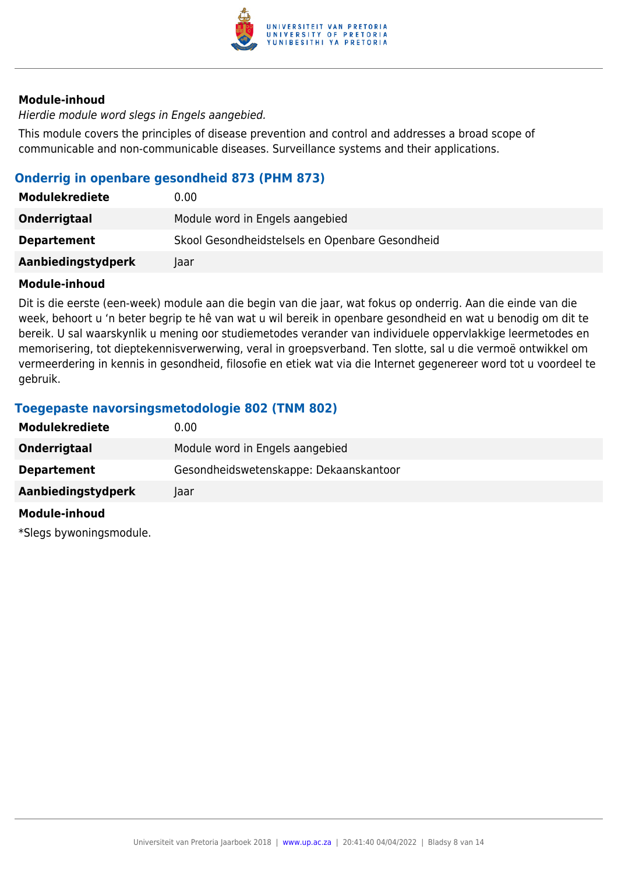

Hierdie module word slegs in Engels aangebied.

This module covers the principles of disease prevention and control and addresses a broad scope of communicable and non-communicable diseases. Surveillance systems and their applications.

## **Onderrig in openbare gesondheid 873 (PHM 873)**

| <b>Modulekrediete</b> | 0.00                                            |
|-----------------------|-------------------------------------------------|
| Onderrigtaal          | Module word in Engels aangebied                 |
| <b>Departement</b>    | Skool Gesondheidstelsels en Openbare Gesondheid |
| Aanbiedingstydperk    | laar                                            |

#### **Module-inhoud**

Dit is die eerste (een-week) module aan die begin van die jaar, wat fokus op onderrig. Aan die einde van die week, behoort u 'n beter begrip te hê van wat u wil bereik in openbare gesondheid en wat u benodig om dit te bereik. U sal waarskynlik u mening oor studiemetodes verander van individuele oppervlakkige leermetodes en memorisering, tot dieptekennisverwerwing, veral in groepsverband. Ten slotte, sal u die vermoë ontwikkel om vermeerdering in kennis in gesondheid, filosofie en etiek wat via die Internet gegenereer word tot u voordeel te gebruik.

# **Toegepaste navorsingsmetodologie 802 (TNM 802)**

| <b>Modulekrediete</b> | 0.00                                   |
|-----------------------|----------------------------------------|
| Onderrigtaal          | Module word in Engels aangebied        |
| <b>Departement</b>    | Gesondheidswetenskappe: Dekaanskantoor |
| Aanbiedingstydperk    | Taar                                   |
| Module-inhoud         |                                        |

\*Slegs bywoningsmodule.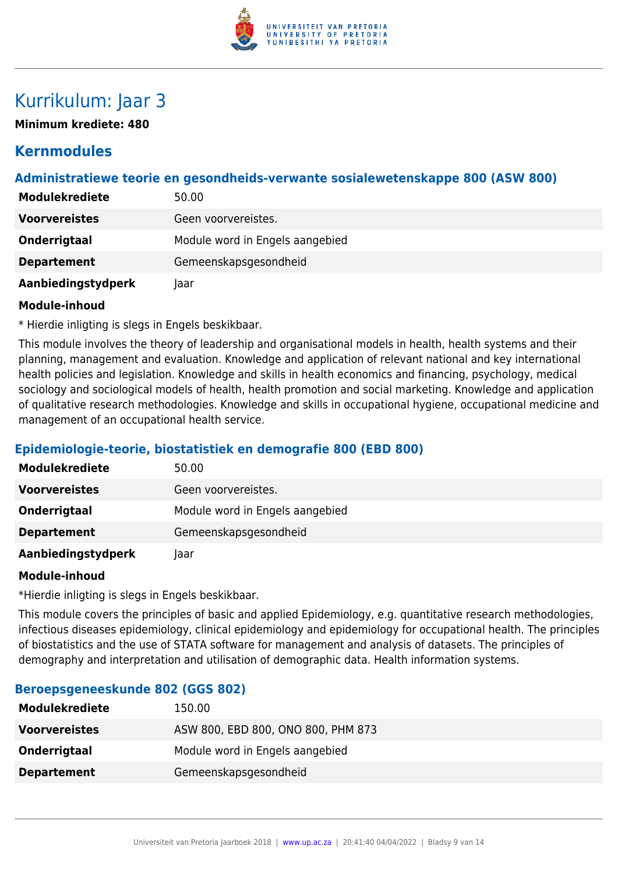

# Kurrikulum: Jaar 3

**Minimum krediete: 480**

# **Kernmodules**

# **Administratiewe teorie en gesondheids-verwante sosialewetenskappe 800 (ASW 800)**

| <b>Modulekrediete</b> | 50.00                           |
|-----------------------|---------------------------------|
| <b>Voorvereistes</b>  | Geen voorvereistes.             |
| Onderrigtaal          | Module word in Engels aangebied |
| <b>Departement</b>    | Gemeenskapsgesondheid           |
| Aanbiedingstydperk    | laar                            |

#### **Module-inhoud**

\* Hierdie inligting is slegs in Engels beskikbaar.

This module involves the theory of leadership and organisational models in health, health systems and their planning, management and evaluation. Knowledge and application of relevant national and key international health policies and legislation. Knowledge and skills in health economics and financing, psychology, medical sociology and sociological models of health, health promotion and social marketing. Knowledge and application of qualitative research methodologies. Knowledge and skills in occupational hygiene, occupational medicine and management of an occupational health service.

# **Epidemiologie-teorie, biostatistiek en demografie 800 (EBD 800)**

| <b>Modulekrediete</b> | 50.00                           |
|-----------------------|---------------------------------|
| <b>Voorvereistes</b>  | Geen voorvereistes.             |
| Onderrigtaal          | Module word in Engels aangebied |
| <b>Departement</b>    | Gemeenskapsgesondheid           |
| Aanbiedingstydperk    | Jaar                            |

#### **Module-inhoud**

\*Hierdie inligting is slegs in Engels beskikbaar.

This module covers the principles of basic and applied Epidemiology, e.g. quantitative research methodologies, infectious diseases epidemiology, clinical epidemiology and epidemiology for occupational health. The principles of biostatistics and the use of STATA software for management and analysis of datasets. The principles of demography and interpretation and utilisation of demographic data. Health information systems.

| <b>Modulekrediete</b> | 150.00                             |
|-----------------------|------------------------------------|
| <b>Voorvereistes</b>  | ASW 800, EBD 800, ONO 800, PHM 873 |
| Onderrigtaal          | Module word in Engels aangebied    |
| <b>Departement</b>    | Gemeenskapsgesondheid              |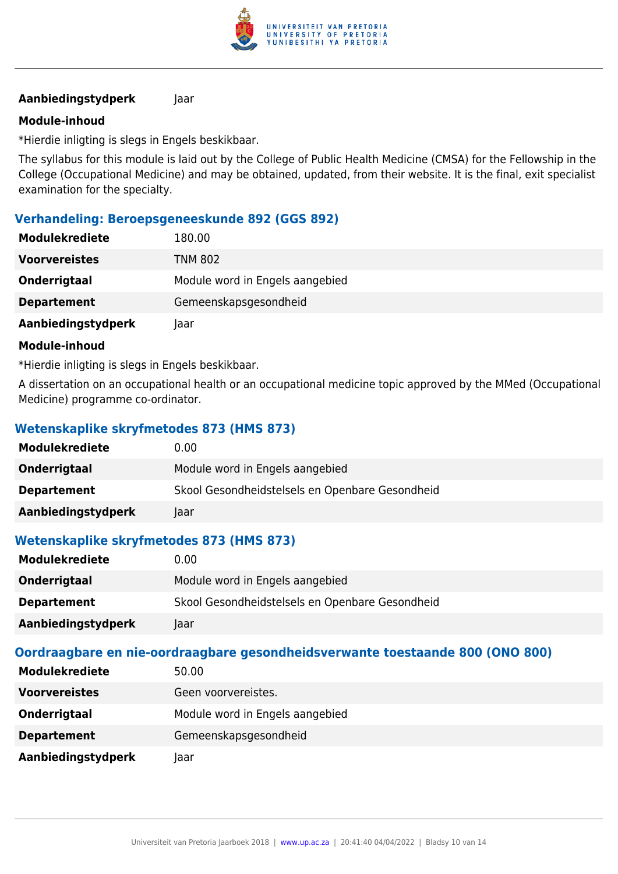

### **Module-inhoud**

\*Hierdie inligting is slegs in Engels beskikbaar.

The syllabus for this module is laid out by the College of Public Health Medicine (CMSA) for the Fellowship in the College (Occupational Medicine) and may be obtained, updated, from their website. It is the final, exit specialist examination for the specialty.

### **Verhandeling: Beroepsgeneeskunde 892 (GGS 892)**

| <b>Modulekrediete</b> | 180.00                          |
|-----------------------|---------------------------------|
| <b>Voorvereistes</b>  | <b>TNM 802</b>                  |
| Onderrigtaal          | Module word in Engels aangebied |
| <b>Departement</b>    | Gemeenskapsgesondheid           |
| Aanbiedingstydperk    | laar                            |

#### **Module-inhoud**

\*Hierdie inligting is slegs in Engels beskikbaar.

A dissertation on an occupational health or an occupational medicine topic approved by the MMed (Occupational Medicine) programme co-ordinator.

# **Wetenskaplike skryfmetodes 873 (HMS 873)**

| <b>Modulekrediete</b> | 0.00                                            |
|-----------------------|-------------------------------------------------|
| Onderrigtaal          | Module word in Engels aangebied                 |
| <b>Departement</b>    | Skool Gesondheidstelsels en Openbare Gesondheid |
| Aanbiedingstydperk    | Jaar                                            |

# **Wetenskaplike skryfmetodes 873 (HMS 873)**

| <b>Modulekrediete</b> | 0.00                                            |
|-----------------------|-------------------------------------------------|
| Onderrigtaal          | Module word in Engels aangebied                 |
| <b>Departement</b>    | Skool Gesondheidstelsels en Openbare Gesondheid |
| Aanbiedingstydperk    | laar                                            |

| <b>Modulekrediete</b> | 50.00                           |
|-----------------------|---------------------------------|
| <b>Voorvereistes</b>  | Geen voorvereistes.             |
| Onderrigtaal          | Module word in Engels aangebied |
| <b>Departement</b>    | Gemeenskapsgesondheid           |
| Aanbiedingstydperk    | laar                            |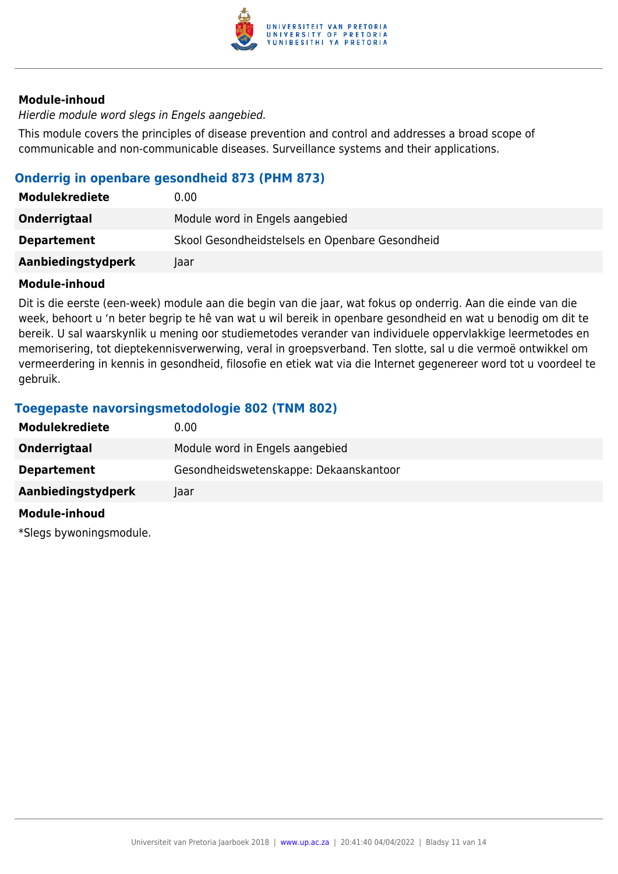

Hierdie module word slegs in Engels aangebied.

This module covers the principles of disease prevention and control and addresses a broad scope of communicable and non-communicable diseases. Surveillance systems and their applications.

## **Onderrig in openbare gesondheid 873 (PHM 873)**

| <b>Modulekrediete</b> | 0.00                                            |
|-----------------------|-------------------------------------------------|
| Onderrigtaal          | Module word in Engels aangebied                 |
| <b>Departement</b>    | Skool Gesondheidstelsels en Openbare Gesondheid |
| Aanbiedingstydperk    | laar                                            |

#### **Module-inhoud**

Dit is die eerste (een-week) module aan die begin van die jaar, wat fokus op onderrig. Aan die einde van die week, behoort u 'n beter begrip te hê van wat u wil bereik in openbare gesondheid en wat u benodig om dit te bereik. U sal waarskynlik u mening oor studiemetodes verander van individuele oppervlakkige leermetodes en memorisering, tot dieptekennisverwerwing, veral in groepsverband. Ten slotte, sal u die vermoë ontwikkel om vermeerdering in kennis in gesondheid, filosofie en etiek wat via die Internet gegenereer word tot u voordeel te gebruik.

# **Toegepaste navorsingsmetodologie 802 (TNM 802)**

| <b>Modulekrediete</b> | 0.00                                   |
|-----------------------|----------------------------------------|
| Onderrigtaal          | Module word in Engels aangebied        |
| <b>Departement</b>    | Gesondheidswetenskappe: Dekaanskantoor |
| Aanbiedingstydperk    | Taar                                   |
| Module-inhoud         |                                        |

\*Slegs bywoningsmodule.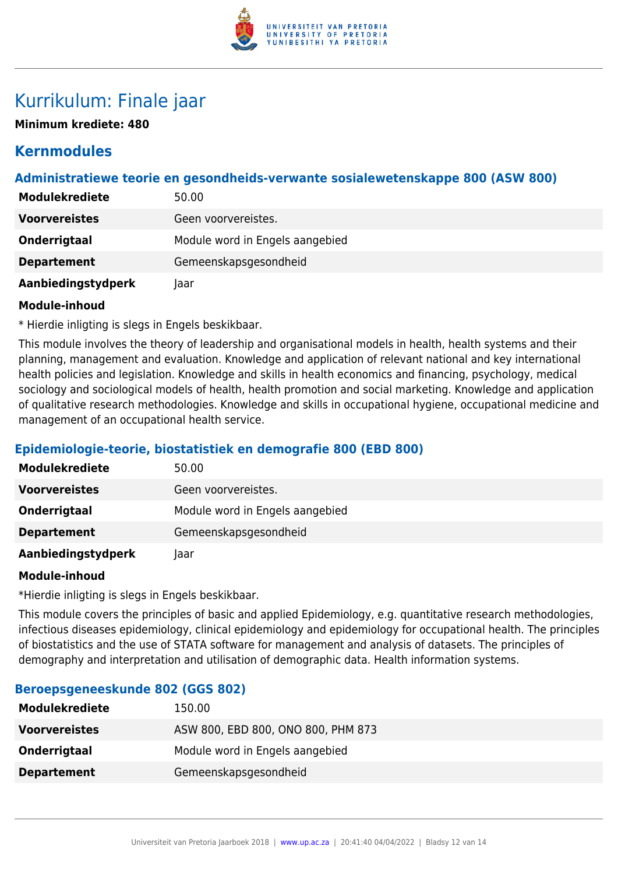

# Kurrikulum: Finale jaar

**Minimum krediete: 480**

# **Kernmodules**

# **Administratiewe teorie en gesondheids-verwante sosialewetenskappe 800 (ASW 800)**

| <b>Modulekrediete</b> | 50.00                           |
|-----------------------|---------------------------------|
| <b>Voorvereistes</b>  | Geen voorvereistes.             |
| Onderrigtaal          | Module word in Engels aangebied |
| <b>Departement</b>    | Gemeenskapsgesondheid           |
| Aanbiedingstydperk    | laar                            |

#### **Module-inhoud**

\* Hierdie inligting is slegs in Engels beskikbaar.

This module involves the theory of leadership and organisational models in health, health systems and their planning, management and evaluation. Knowledge and application of relevant national and key international health policies and legislation. Knowledge and skills in health economics and financing, psychology, medical sociology and sociological models of health, health promotion and social marketing. Knowledge and application of qualitative research methodologies. Knowledge and skills in occupational hygiene, occupational medicine and management of an occupational health service.

# **Epidemiologie-teorie, biostatistiek en demografie 800 (EBD 800)**

| <b>Modulekrediete</b> | 50.00                           |
|-----------------------|---------------------------------|
| <b>Voorvereistes</b>  | Geen voorvereistes.             |
| Onderrigtaal          | Module word in Engels aangebied |
| <b>Departement</b>    | Gemeenskapsgesondheid           |
| Aanbiedingstydperk    | laar                            |

#### **Module-inhoud**

\*Hierdie inligting is slegs in Engels beskikbaar.

This module covers the principles of basic and applied Epidemiology, e.g. quantitative research methodologies, infectious diseases epidemiology, clinical epidemiology and epidemiology for occupational health. The principles of biostatistics and the use of STATA software for management and analysis of datasets. The principles of demography and interpretation and utilisation of demographic data. Health information systems.

| <b>Modulekrediete</b> | 150.00                             |
|-----------------------|------------------------------------|
| <b>Voorvereistes</b>  | ASW 800, EBD 800, ONO 800, PHM 873 |
| Onderrigtaal          | Module word in Engels aangebied    |
| <b>Departement</b>    | Gemeenskapsgesondheid              |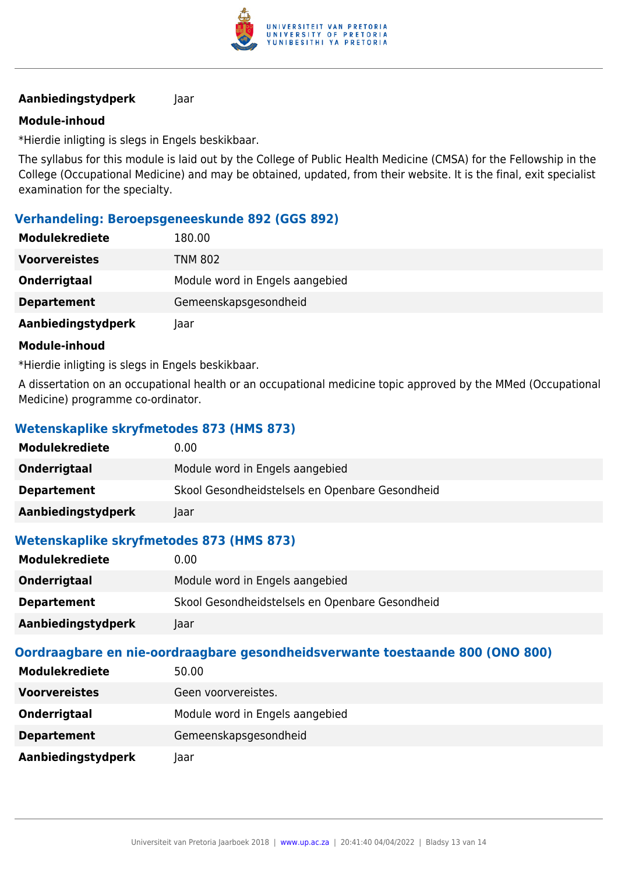

### **Module-inhoud**

\*Hierdie inligting is slegs in Engels beskikbaar.

The syllabus for this module is laid out by the College of Public Health Medicine (CMSA) for the Fellowship in the College (Occupational Medicine) and may be obtained, updated, from their website. It is the final, exit specialist examination for the specialty.

### **Verhandeling: Beroepsgeneeskunde 892 (GGS 892)**

| <b>Modulekrediete</b> | 180.00                          |
|-----------------------|---------------------------------|
| <b>Voorvereistes</b>  | <b>TNM 802</b>                  |
| Onderrigtaal          | Module word in Engels aangebied |
| <b>Departement</b>    | Gemeenskapsgesondheid           |
| Aanbiedingstydperk    | Jaar                            |

#### **Module-inhoud**

\*Hierdie inligting is slegs in Engels beskikbaar.

A dissertation on an occupational health or an occupational medicine topic approved by the MMed (Occupational Medicine) programme co-ordinator.

# **Wetenskaplike skryfmetodes 873 (HMS 873)**

| <b>Modulekrediete</b> | 0.00                                            |
|-----------------------|-------------------------------------------------|
| Onderrigtaal          | Module word in Engels aangebied                 |
| <b>Departement</b>    | Skool Gesondheidstelsels en Openbare Gesondheid |
| Aanbiedingstydperk    | Jaar                                            |

# **Wetenskaplike skryfmetodes 873 (HMS 873)**

| <b>Modulekrediete</b> | 0.00                                            |
|-----------------------|-------------------------------------------------|
| Onderrigtaal          | Module word in Engels aangebied                 |
| <b>Departement</b>    | Skool Gesondheidstelsels en Openbare Gesondheid |
| Aanbiedingstydperk    | laar                                            |

| <b>Modulekrediete</b> | 50.00                           |
|-----------------------|---------------------------------|
| <b>Voorvereistes</b>  | Geen voorvereistes.             |
| Onderrigtaal          | Module word in Engels aangebied |
| <b>Departement</b>    | Gemeenskapsgesondheid           |
| Aanbiedingstydperk    | laar                            |